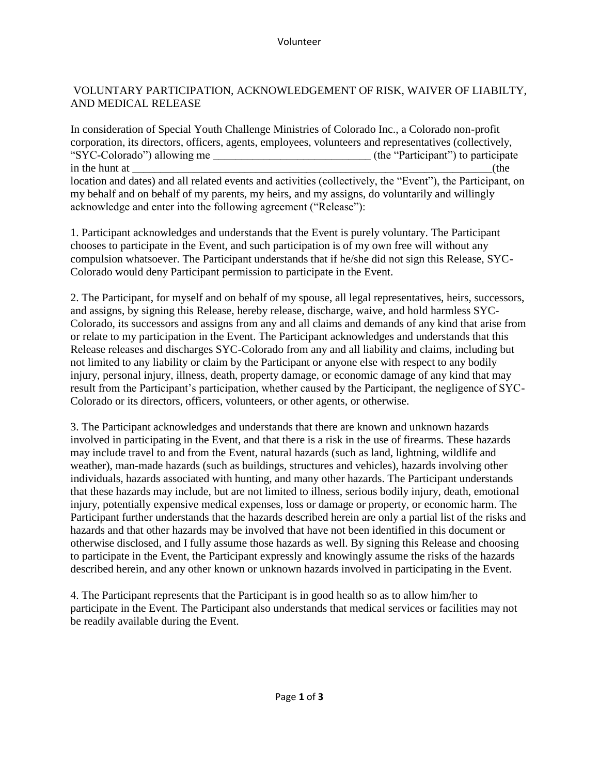## VOLUNTARY PARTICIPATION, ACKNOWLEDGEMENT OF RISK, WAIVER OF LIABILTY, AND MEDICAL RELEASE

In consideration of Special Youth Challenge Ministries of Colorado Inc., a Colorado non-profit corporation, its directors, officers, agents, employees, volunteers and representatives (collectively, "SYC-Colorado") allowing me \_\_\_\_\_\_\_\_\_\_\_\_\_\_\_\_\_\_\_\_\_\_\_\_\_\_\_\_ (the "Participant") to participate in the hunt at  $($ the hunt at  $)$ location and dates) and all related events and activities (collectively, the "Event"), the Participant, on my behalf and on behalf of my parents, my heirs, and my assigns, do voluntarily and willingly acknowledge and enter into the following agreement ("Release"):

1. Participant acknowledges and understands that the Event is purely voluntary. The Participant chooses to participate in the Event, and such participation is of my own free will without any compulsion whatsoever. The Participant understands that if he/she did not sign this Release, SYC-Colorado would deny Participant permission to participate in the Event.

2. The Participant, for myself and on behalf of my spouse, all legal representatives, heirs, successors, and assigns, by signing this Release, hereby release, discharge, waive, and hold harmless SYC-Colorado, its successors and assigns from any and all claims and demands of any kind that arise from or relate to my participation in the Event. The Participant acknowledges and understands that this Release releases and discharges SYC-Colorado from any and all liability and claims, including but not limited to any liability or claim by the Participant or anyone else with respect to any bodily injury, personal injury, illness, death, property damage, or economic damage of any kind that may result from the Participant's participation, whether caused by the Participant, the negligence of SYC-Colorado or its directors, officers, volunteers, or other agents, or otherwise.

3. The Participant acknowledges and understands that there are known and unknown hazards involved in participating in the Event, and that there is a risk in the use of firearms. These hazards may include travel to and from the Event, natural hazards (such as land, lightning, wildlife and weather), man-made hazards (such as buildings, structures and vehicles), hazards involving other individuals, hazards associated with hunting, and many other hazards. The Participant understands that these hazards may include, but are not limited to illness, serious bodily injury, death, emotional injury, potentially expensive medical expenses, loss or damage or property, or economic harm. The Participant further understands that the hazards described herein are only a partial list of the risks and hazards and that other hazards may be involved that have not been identified in this document or otherwise disclosed, and I fully assume those hazards as well. By signing this Release and choosing to participate in the Event, the Participant expressly and knowingly assume the risks of the hazards described herein, and any other known or unknown hazards involved in participating in the Event.

4. The Participant represents that the Participant is in good health so as to allow him/her to participate in the Event. The Participant also understands that medical services or facilities may not be readily available during the Event.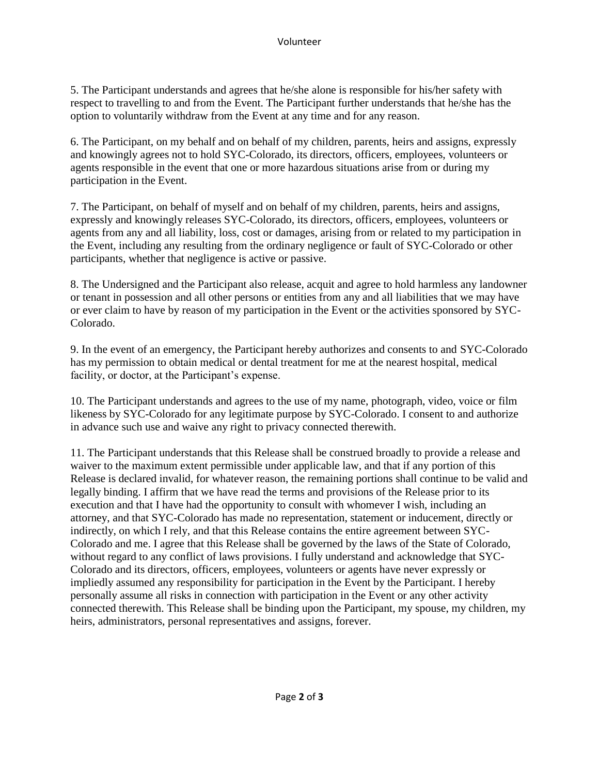5. The Participant understands and agrees that he/she alone is responsible for his/her safety with respect to travelling to and from the Event. The Participant further understands that he/she has the option to voluntarily withdraw from the Event at any time and for any reason.

6. The Participant, on my behalf and on behalf of my children, parents, heirs and assigns, expressly and knowingly agrees not to hold SYC-Colorado, its directors, officers, employees, volunteers or agents responsible in the event that one or more hazardous situations arise from or during my participation in the Event.

7. The Participant, on behalf of myself and on behalf of my children, parents, heirs and assigns, expressly and knowingly releases SYC-Colorado, its directors, officers, employees, volunteers or agents from any and all liability, loss, cost or damages, arising from or related to my participation in the Event, including any resulting from the ordinary negligence or fault of SYC-Colorado or other participants, whether that negligence is active or passive.

8. The Undersigned and the Participant also release, acquit and agree to hold harmless any landowner or tenant in possession and all other persons or entities from any and all liabilities that we may have or ever claim to have by reason of my participation in the Event or the activities sponsored by SYC-Colorado.

9. In the event of an emergency, the Participant hereby authorizes and consents to and SYC-Colorado has my permission to obtain medical or dental treatment for me at the nearest hospital, medical facility, or doctor, at the Participant's expense.

10. The Participant understands and agrees to the use of my name, photograph, video, voice or film likeness by SYC-Colorado for any legitimate purpose by SYC-Colorado. I consent to and authorize in advance such use and waive any right to privacy connected therewith.

11. The Participant understands that this Release shall be construed broadly to provide a release and waiver to the maximum extent permissible under applicable law, and that if any portion of this Release is declared invalid, for whatever reason, the remaining portions shall continue to be valid and legally binding. I affirm that we have read the terms and provisions of the Release prior to its execution and that I have had the opportunity to consult with whomever I wish, including an attorney, and that SYC-Colorado has made no representation, statement or inducement, directly or indirectly, on which I rely, and that this Release contains the entire agreement between SYC-Colorado and me. I agree that this Release shall be governed by the laws of the State of Colorado, without regard to any conflict of laws provisions. I fully understand and acknowledge that SYC-Colorado and its directors, officers, employees, volunteers or agents have never expressly or impliedly assumed any responsibility for participation in the Event by the Participant. I hereby personally assume all risks in connection with participation in the Event or any other activity connected therewith. This Release shall be binding upon the Participant, my spouse, my children, my heirs, administrators, personal representatives and assigns, forever.